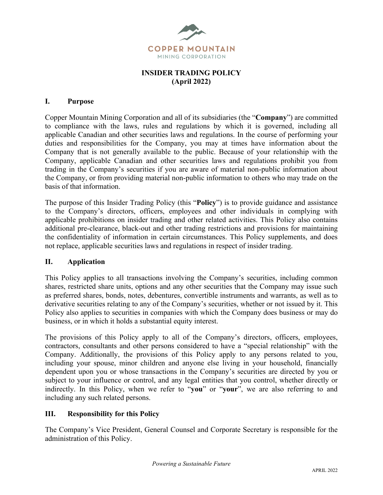

# **INSIDER TRADING POLICY (April 2022)**

#### **I. Purpose**

Copper Mountain Mining Corporation and all of its subsidiaries (the "**Company**") are committed to compliance with the laws, rules and regulations by which it is governed, including all applicable Canadian and other securities laws and regulations. In the course of performing your duties and responsibilities for the Company, you may at times have information about the Company that is not generally available to the public. Because of your relationship with the Company, applicable Canadian and other securities laws and regulations prohibit you from trading in the Company's securities if you are aware of material non-public information about the Company, or from providing material non-public information to others who may trade on the basis of that information.

The purpose of this Insider Trading Policy (this "**Policy**") is to provide guidance and assistance to the Company's directors, officers, employees and other individuals in complying with applicable prohibitions on insider trading and other related activities. This Policy also contains additional pre-clearance, black-out and other trading restrictions and provisions for maintaining the confidentiality of information in certain circumstances. This Policy supplements, and does not replace, applicable securities laws and regulations in respect of insider trading.

#### **II. Application**

This Policy applies to all transactions involving the Company's securities, including common shares, restricted share units, options and any other securities that the Company may issue such as preferred shares, bonds, notes, debentures, convertible instruments and warrants, as well as to derivative securities relating to any of the Company's securities, whether or not issued by it. This Policy also applies to securities in companies with which the Company does business or may do business, or in which it holds a substantial equity interest.

The provisions of this Policy apply to all of the Company's directors, officers, employees, contractors, consultants and other persons considered to have a "special relationship" with the Company. Additionally, the provisions of this Policy apply to any persons related to you, including your spouse, minor children and anyone else living in your household, financially dependent upon you or whose transactions in the Company's securities are directed by you or subject to your influence or control, and any legal entities that you control, whether directly or indirectly. In this Policy, when we refer to "**you**" or "**your**", we are also referring to and including any such related persons.

#### **III. Responsibility for this Policy**

The Company's Vice President, General Counsel and Corporate Secretary is responsible for the administration of this Policy.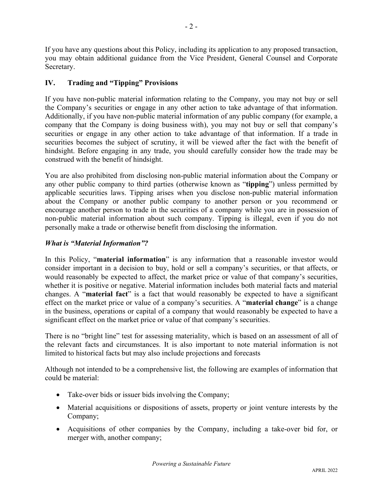If you have any questions about this Policy, including its application to any proposed transaction, you may obtain additional guidance from the Vice President, General Counsel and Corporate Secretary.

# **IV. Trading and "Tipping" Provisions**

If you have non-public material information relating to the Company, you may not buy or sell the Company's securities or engage in any other action to take advantage of that information. Additionally, if you have non-public material information of any public company (for example, a company that the Company is doing business with), you may not buy or sell that company's securities or engage in any other action to take advantage of that information. If a trade in securities becomes the subject of scrutiny, it will be viewed after the fact with the benefit of hindsight. Before engaging in any trade, you should carefully consider how the trade may be construed with the benefit of hindsight.

You are also prohibited from disclosing non-public material information about the Company or any other public company to third parties (otherwise known as "**tipping**") unless permitted by applicable securities laws. Tipping arises when you disclose non-public material information about the Company or another public company to another person or you recommend or encourage another person to trade in the securities of a company while you are in possession of non-public material information about such company. Tipping is illegal, even if you do not personally make a trade or otherwise benefit from disclosing the information.

# *What is "Material Information"?*

In this Policy, "**material information**" is any information that a reasonable investor would consider important in a decision to buy, hold or sell a company's securities, or that affects, or would reasonably be expected to affect, the market price or value of that company's securities, whether it is positive or negative. Material information includes both material facts and material changes. A "**material fact**" is a fact that would reasonably be expected to have a significant effect on the market price or value of a company's securities. A "**material change**" is a change in the business, operations or capital of a company that would reasonably be expected to have a significant effect on the market price or value of that company's securities.

There is no "bright line" test for assessing materiality, which is based on an assessment of all of the relevant facts and circumstances. It is also important to note material information is not limited to historical facts but may also include projections and forecasts

Although not intended to be a comprehensive list, the following are examples of information that could be material:

- Take-over bids or issuer bids involving the Company;
- Material acquisitions or dispositions of assets, property or joint venture interests by the Company;
- Acquisitions of other companies by the Company, including a take-over bid for, or merger with, another company;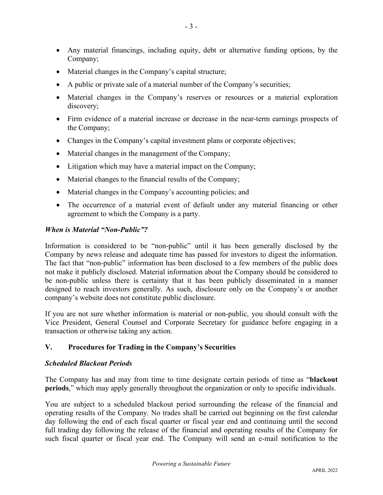- Any material financings, including equity, debt or alternative funding options, by the Company;
- Material changes in the Company's capital structure;
- A public or private sale of a material number of the Company's securities;
- Material changes in the Company's reserves or resources or a material exploration discovery;
- Firm evidence of a material increase or decrease in the near-term earnings prospects of the Company;
- Changes in the Company's capital investment plans or corporate objectives;
- Material changes in the management of the Company;
- Litigation which may have a material impact on the Company;
- Material changes to the financial results of the Company;
- Material changes in the Company's accounting policies; and
- The occurrence of a material event of default under any material financing or other agreement to which the Company is a party.

#### *When is Material "Non-Public"?*

Information is considered to be "non-public" until it has been generally disclosed by the Company by news release and adequate time has passed for investors to digest the information. The fact that "non-public" information has been disclosed to a few members of the public does not make it publicly disclosed. Material information about the Company should be considered to be non-public unless there is certainty that it has been publicly disseminated in a manner designed to reach investors generally. As such, disclosure only on the Company's or another company's website does not constitute public disclosure.

If you are not sure whether information is material or non-public, you should consult with the Vice President, General Counsel and Corporate Secretary for guidance before engaging in a transaction or otherwise taking any action.

# **V. Procedures for Trading in the Company's Securities**

# *Scheduled Blackout Periods*

The Company has and may from time to time designate certain periods of time as "**blackout periods**," which may apply generally throughout the organization or only to specific individuals.

You are subject to a scheduled blackout period surrounding the release of the financial and operating results of the Company. No trades shall be carried out beginning on the first calendar day following the end of each fiscal quarter or fiscal year end and continuing until the second full trading day following the release of the financial and operating results of the Company for such fiscal quarter or fiscal year end. The Company will send an e-mail notification to the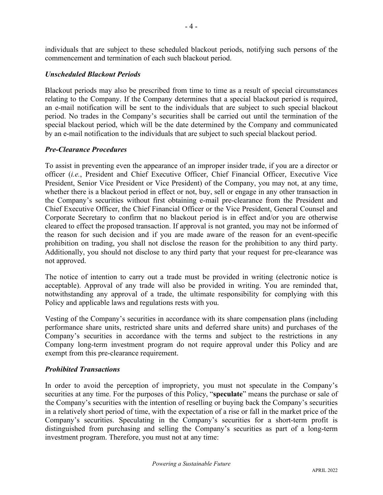individuals that are subject to these scheduled blackout periods, notifying such persons of the commencement and termination of each such blackout period.

#### *Unscheduled Blackout Periods*

Blackout periods may also be prescribed from time to time as a result of special circumstances relating to the Company. If the Company determines that a special blackout period is required, an e-mail notification will be sent to the individuals that are subject to such special blackout period. No trades in the Company's securities shall be carried out until the termination of the special blackout period, which will be the date determined by the Company and communicated by an e-mail notification to the individuals that are subject to such special blackout period.

#### *Pre-Clearance Procedures*

To assist in preventing even the appearance of an improper insider trade, if you are a director or officer (*i.e.*, President and Chief Executive Officer, Chief Financial Officer, Executive Vice President, Senior Vice President or Vice President) of the Company, you may not, at any time, whether there is a blackout period in effect or not, buy, sell or engage in any other transaction in the Company's securities without first obtaining e-mail pre-clearance from the President and Chief Executive Officer, the Chief Financial Officer or the Vice President, General Counsel and Corporate Secretary to confirm that no blackout period is in effect and/or you are otherwise cleared to effect the proposed transaction. If approval is not granted, you may not be informed of the reason for such decision and if you are made aware of the reason for an event-specific prohibition on trading, you shall not disclose the reason for the prohibition to any third party. Additionally, you should not disclose to any third party that your request for pre-clearance was not approved.

The notice of intention to carry out a trade must be provided in writing (electronic notice is acceptable). Approval of any trade will also be provided in writing. You are reminded that, notwithstanding any approval of a trade, the ultimate responsibility for complying with this Policy and applicable laws and regulations rests with you.

Vesting of the Company's securities in accordance with its share compensation plans (including performance share units, restricted share units and deferred share units) and purchases of the Company's securities in accordance with the terms and subject to the restrictions in any Company long-term investment program do not require approval under this Policy and are exempt from this pre-clearance requirement.

# *Prohibited Transactions*

In order to avoid the perception of impropriety, you must not speculate in the Company's securities at any time. For the purposes of this Policy, "**speculate**" means the purchase or sale of the Company's securities with the intention of reselling or buying back the Company's securities in a relatively short period of time, with the expectation of a rise or fall in the market price of the Company's securities. Speculating in the Company's securities for a short-term profit is distinguished from purchasing and selling the Company's securities as part of a long-term investment program. Therefore, you must not at any time: